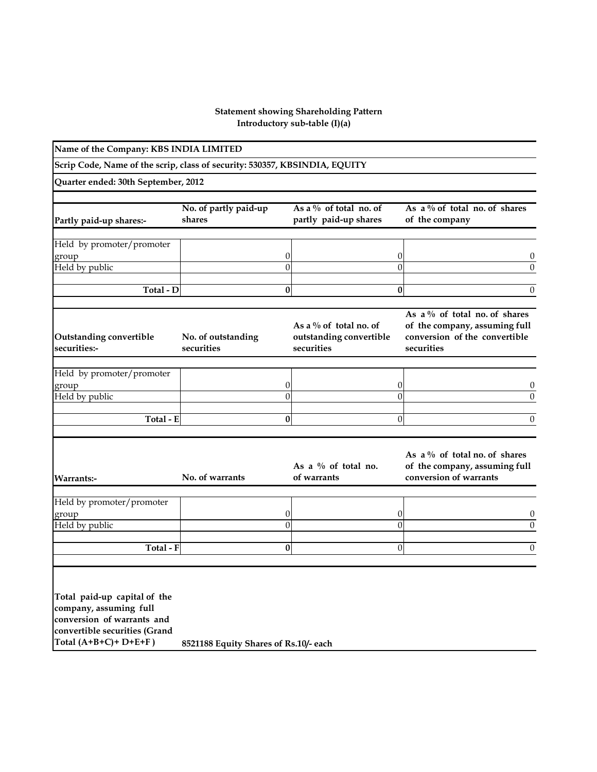## **Introductory sub-table (I)(a) Statement showing Shareholding Pattern**

| Name of the Company: KBS INDIA LIMITED |                                                                            |                                                                                                   |                                                                                                 |
|----------------------------------------|----------------------------------------------------------------------------|---------------------------------------------------------------------------------------------------|-------------------------------------------------------------------------------------------------|
|                                        |                                                                            |                                                                                                   |                                                                                                 |
|                                        |                                                                            |                                                                                                   |                                                                                                 |
| No. of partly paid-up<br>shares        | As a $\%$ of total no. of<br>partly paid-up shares                         | of the company                                                                                    | As a $\%$ of total no. of shares                                                                |
|                                        |                                                                            |                                                                                                   |                                                                                                 |
|                                        | 0<br>$\overline{0}$                                                        | 0<br>$\overline{0}$                                                                               | U<br>$\Omega$                                                                                   |
|                                        | 0                                                                          | $\bf{0}$                                                                                          | $\theta$                                                                                        |
| No. of outstanding<br>securities       | As a $\%$ of total no. of<br>securities                                    | securities                                                                                        | As a % of total no. of shares<br>of the company, assuming full<br>conversion of the convertible |
|                                        |                                                                            |                                                                                                   |                                                                                                 |
|                                        | 0<br>$\overline{0}$                                                        | 0<br>$\overline{0}$                                                                               | U<br>$\Omega$                                                                                   |
|                                        | 0                                                                          | $\overline{0}$                                                                                    | $\Omega$                                                                                        |
| No. of warrants                        | As a $\%$ of total no.<br>of warrants                                      | conversion of warrants                                                                            | As a $\%$ of total no. of shares<br>of the company, assuming full                               |
|                                        | 0                                                                          | 0                                                                                                 | $\theta$                                                                                        |
|                                        |                                                                            |                                                                                                   | $\theta$                                                                                        |
|                                        |                                                                            |                                                                                                   | $\theta$                                                                                        |
| convertible securities (Grand          | Quarter ended: 30th September, 2012<br>Total - D<br>Total - E<br>Total - F | Scrip Code, Name of the scrip, class of security: 530357, KBSINDIA, EQUITY<br>$\overline{0}$<br>0 | outstanding convertible<br>$\overline{0}$<br>0<br>8521188 Equity Shares of Rs.10/- each         |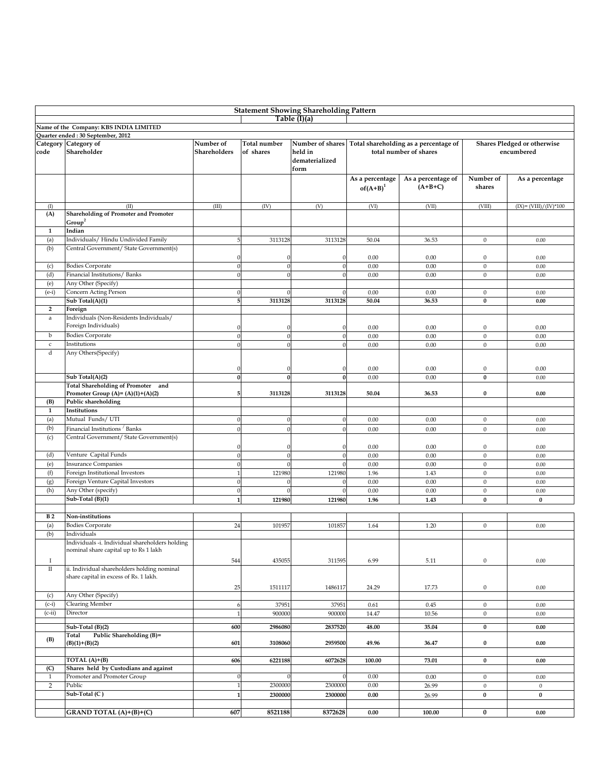| <b>Statement Showing Shareholding Pattern</b> |                                                 |                |                  |                  |                 |                                       |                  |                             |  |  |
|-----------------------------------------------|-------------------------------------------------|----------------|------------------|------------------|-----------------|---------------------------------------|------------------|-----------------------------|--|--|
|                                               |                                                 |                |                  | Table (I)(a)     |                 |                                       |                  |                             |  |  |
|                                               | Name of the Company: KBS INDIA LIMITED          |                |                  |                  |                 |                                       |                  |                             |  |  |
|                                               | Quarter ended: 30 September, 2012               |                |                  |                  |                 |                                       |                  |                             |  |  |
|                                               | Category Category of                            | Number of      | Total number     | Number of shares |                 | Total shareholding as a percentage of |                  | Shares Pledged or otherwise |  |  |
| code                                          | Shareholder                                     | Shareholders   | of shares        | held in          |                 | total number of shares                |                  | encumbered                  |  |  |
|                                               |                                                 |                |                  | dematerialized   |                 |                                       |                  |                             |  |  |
|                                               |                                                 |                |                  | form             |                 |                                       |                  |                             |  |  |
|                                               |                                                 |                |                  |                  | As a percentage | As a percentage of                    | Number of        | As a percentage             |  |  |
|                                               |                                                 |                |                  |                  | $of(A+B)^1$     | $(A+B+C)$                             | shares           |                             |  |  |
|                                               |                                                 |                |                  |                  |                 |                                       |                  |                             |  |  |
| (I)                                           | (II)                                            | (III)          | (IV)             | (V)              | (VI)            | (VII)                                 | (VIII)           | $(IX) = (VIII)/(IV)*100$    |  |  |
| (A)                                           | <b>Shareholding of Promoter and Promoter</b>    |                |                  |                  |                 |                                       |                  |                             |  |  |
|                                               | Group <sup>2</sup>                              |                |                  |                  |                 |                                       |                  |                             |  |  |
| $\mathbf{1}$                                  | Indian                                          |                |                  |                  |                 |                                       |                  |                             |  |  |
| (a)                                           | Individuals/ Hindu Undivided Family             | 5              | 3113128          | 3113128          | 50.04           | 36.53                                 | $\mathbf{0}$     | 0.00                        |  |  |
| (b)                                           | Central Government/ State Government(s)         |                |                  |                  |                 |                                       |                  |                             |  |  |
|                                               |                                                 |                |                  |                  |                 |                                       |                  |                             |  |  |
|                                               |                                                 | $\mathbf{0}$   | 0                | ſ                | 0.00            | 0.00                                  | $\bf{0}$         | 0.00                        |  |  |
| (c)                                           | <b>Bodies Corporate</b>                         | $\theta$       | $\boldsymbol{0}$ | $\sqrt{ }$       | 0.00            | 0.00                                  | $\mathbf{0}$     | 0.00                        |  |  |
| (d)                                           | Financial Institutions/ Banks                   | $\theta$       | $\boldsymbol{0}$ | $\sqrt{ }$       | 0.00            | 0.00                                  | $\bf{0}$         | 0.00                        |  |  |
| (e)                                           | Any Other (Specify)                             |                |                  |                  |                 |                                       |                  |                             |  |  |
| $(e-i)$                                       | Concern Acting Person                           | $\Omega$       | $\Omega$         | $\sqrt{ }$       | 0.00            | 0.00                                  | $\mathbf{0}$     | 0.00                        |  |  |
|                                               | Sub Total(A)(1)                                 | 5              | 3113128          | 3113128          | 50.04           | 36.53                                 | $\bf{0}$         | 0.00                        |  |  |
| $\mathbf{2}$                                  | Foreign                                         |                |                  |                  |                 |                                       |                  |                             |  |  |
| $\rm{a}$                                      | Individuals (Non-Residents Individuals/         |                |                  |                  |                 |                                       |                  |                             |  |  |
|                                               | Foreign Individuals)                            | $\Omega$       |                  |                  | 0.00            | 0.00                                  | $\bf{0}$         | 0.00                        |  |  |
| b                                             | <b>Bodies Corporate</b>                         | $\Omega$       | $\boldsymbol{0}$ | $\sqrt{2}$       | 0.00            | 0.00                                  | $\mathbf{0}$     | 0.00                        |  |  |
| $\mathsf{c}$                                  | Institutions                                    | $\Omega$       | $\theta$         |                  | 0.00            | 0.00                                  | $\mathbf{0}$     | 0.00                        |  |  |
| d                                             | Any Others(Specify)                             |                |                  |                  |                 |                                       |                  |                             |  |  |
|                                               |                                                 |                |                  |                  |                 |                                       |                  |                             |  |  |
|                                               |                                                 | $\Omega$       | $\Omega$         | $\sqrt{ }$       | 0.00            | 0.00                                  | $\boldsymbol{0}$ | 0.00                        |  |  |
|                                               | Sub Total(A)(2)                                 | $\bf{0}$       | $\bf{0}$         | $\mathbf{0}$     | 0.00            | 0.00                                  | $\bf{0}$         | 0.00                        |  |  |
|                                               | Total Shareholding of Promoter and              |                |                  |                  |                 |                                       |                  |                             |  |  |
|                                               | Promoter Group (A)= $(A)(1)+(A)(2)$             | 5              | 3113128          | 3113128          | 50.04           | 36.53                                 | 0                | 0.00                        |  |  |
| (B)                                           | Public shareholding                             |                |                  |                  |                 |                                       |                  |                             |  |  |
| $\mathbf{1}$                                  | Institutions                                    |                |                  |                  |                 |                                       |                  |                             |  |  |
| (a)                                           | Mutual Funds/UTI                                | $\theta$       | $\boldsymbol{0}$ | $\sqrt{ }$       | 0.00            | 0.00                                  | $\boldsymbol{0}$ | 0.00                        |  |  |
| (b)                                           | Financial Institutions / Banks                  | $\Omega$       | $\boldsymbol{0}$ | $\sqrt{ }$       | 0.00            | 0.00                                  | $\mathbf{0}$     | 0.00                        |  |  |
| (c)                                           | Central Government/ State Government(s)         |                |                  |                  |                 |                                       |                  |                             |  |  |
|                                               |                                                 | $\Omega$       | $\theta$         | $\sqrt{ }$       | 0.00            | 0.00                                  | $\mathbf{0}$     | 0.00                        |  |  |
| (d)                                           | Venture Capital Funds                           | $\Omega$       |                  | $\sqrt{ }$       | 0.00            | 0.00                                  | $\mathbf{0}$     | 0.00                        |  |  |
| (e)                                           | <b>Insurance Companies</b>                      | $\theta$       | $\theta$         |                  | 0.00            | 0.00                                  | $\mathbf{0}$     | 0.00                        |  |  |
| (f)                                           | Foreign Institutional Investors                 | $\overline{1}$ | 121980           | 121980           | 1.96            | 1.43                                  | $\mathbf{0}$     | 0.00                        |  |  |
| (g)                                           | Foreign Venture Capital Investors               | $\Omega$       |                  |                  | 0.00            | 0.00                                  | $\mathbf{0}$     | 0.00                        |  |  |
| (h)                                           | Any Other (specify)                             | $\Omega$       |                  |                  | 0.00            | 0.00                                  | $\mathbf{0}$     |                             |  |  |
|                                               |                                                 |                |                  |                  |                 |                                       |                  | 0.00                        |  |  |
|                                               | Sub-Total (B)(1)                                | $\mathbf{1}$   | 121980           | 121980           | 1.96            | 1.43                                  | $\bf{0}$         | $\bf{0}$                    |  |  |
|                                               |                                                 |                |                  |                  |                 |                                       |                  |                             |  |  |
| B <sub>2</sub>                                | Non-institutions                                |                |                  |                  |                 |                                       |                  |                             |  |  |
| (a)                                           | <b>Bodies Corporate</b>                         | 24             | 101957           | 101857           | 1.64            | 1.20                                  | $\mathbf{0}$     | 0.00                        |  |  |
| (b)                                           | Individuals                                     |                |                  |                  |                 |                                       |                  |                             |  |  |
|                                               | Individuals -i. Individual shareholders holding |                |                  |                  |                 |                                       |                  |                             |  |  |
|                                               | nominal share capital up to Rs 1 lakh           |                |                  |                  |                 |                                       |                  |                             |  |  |
| -1                                            |                                                 | 544            | 435055           | 311595           | 6.99            | 5.11                                  | $\mathbf{0}$     | 0.00                        |  |  |
| $\rm II$                                      | ii. Individual shareholders holding nominal     |                |                  |                  |                 |                                       |                  |                             |  |  |
|                                               | share capital in excess of Rs. 1 lakh.          |                |                  |                  |                 |                                       |                  |                             |  |  |
|                                               |                                                 | 25             | 1511117          | 1486117          | 24.29           | 17.73                                 | $\boldsymbol{0}$ | 0.00                        |  |  |
| (c)                                           | Any Other (Specify)                             |                |                  |                  |                 |                                       |                  |                             |  |  |
| $(c-i)$                                       | <b>Clearing Member</b>                          | 6              | 37951            | 37951            | 0.61            | 0.45                                  | $\mathbf{0}$     | 0.00                        |  |  |
| $(c-ii)$                                      | Director                                        | $\overline{1}$ | 900000           | 900000           | 14.47           | 10.56                                 | $\boldsymbol{0}$ | 0.00                        |  |  |
|                                               |                                                 |                |                  |                  |                 |                                       |                  |                             |  |  |
|                                               | Sub-Total (B)(2)                                | 600            | 2986080          | 2837520          | 48.00           | 35.04                                 | $\bf{0}$         | $0.00\,$                    |  |  |
| (B)                                           | Public Shareholding (B)=<br>Total               |                |                  |                  |                 |                                       |                  |                             |  |  |
|                                               | $(B)(1)+(B)(2)$                                 | 601            | 3108060          | 2959500          | 49.96           | 36.47                                 | 0                | 0.00                        |  |  |
|                                               |                                                 |                |                  |                  |                 |                                       |                  |                             |  |  |
|                                               | TOTAL $(A)+(B)$                                 | 606            | 6221188          | 6072628          | 100.00          | 73.01                                 | $\bf{0}$         | 0.00                        |  |  |
| (C)                                           | Shares held by Custodians and against           |                |                  |                  |                 |                                       |                  |                             |  |  |
| 1                                             | Promoter and Promoter Group                     | $\mathbf{0}$   | $\mathbf{0}$     |                  | 0.00            | 0.00                                  | $\boldsymbol{0}$ | 0.00                        |  |  |
| $\overline{2}$                                | Public                                          | $\mathbf{1}$   | 2300000          | 2300000          | 0.00            | 26.99                                 | $\boldsymbol{0}$ | $\boldsymbol{0}$            |  |  |
|                                               | Sub-Total (C)                                   | $\mathbf{1}$   | 2300000          | 2300000          | $0.00\,$        | 26.99                                 | $\bf{0}$         | $\bf{0}$                    |  |  |
|                                               |                                                 |                |                  |                  |                 |                                       |                  |                             |  |  |
|                                               | GRAND TOTAL (A)+(B)+(C)                         | 607            | 8521188          | 8372628          | 0.00            | 100.00                                | $\bf{0}$         | $0.00\,$                    |  |  |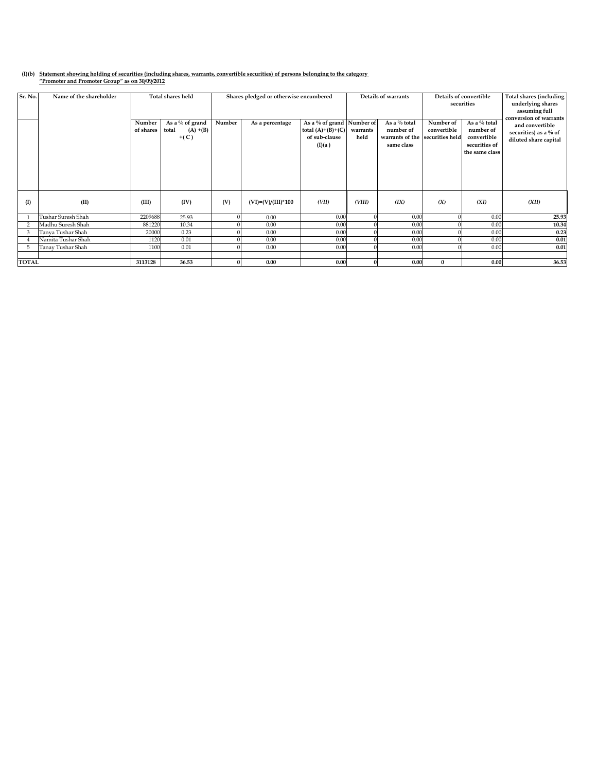## **(I)(b) Statement showing holding of securities (including shares, warrants, convertible securities) of persons belonging to the category "Promoter and Promoter Group" as on 30/09/2012**

| Sr. No.      | Name of the shareholder |                     | <b>Total shares held</b>                             | Shares pledged or otherwise encumbered |                      | Details of warrants                                                         |                  | Details of convertible<br>securities                       |                                             | Total shares (including<br>underlying shares<br>assuming full<br>conversion of warrants |                                                                   |
|--------------|-------------------------|---------------------|------------------------------------------------------|----------------------------------------|----------------------|-----------------------------------------------------------------------------|------------------|------------------------------------------------------------|---------------------------------------------|-----------------------------------------------------------------------------------------|-------------------------------------------------------------------|
|              |                         | Number<br>of shares | As a $\%$ of grand<br>total<br>$(A) + (B)$<br>$+(C)$ | Number                                 | As a percentage      | As a % of grand Number of<br>total $(A)+(B)+(C)$<br>of sub-clause<br>(I)(a) | warrants<br>held | As a % total<br>number of<br>warrants of the<br>same class | Number of<br>convertible<br>securities held | As a % total<br>number of<br>convertible<br>securities of<br>the same class             | and convertible<br>securities) as a % of<br>diluted share capital |
| $($ I        | (II)                    | (III)               | (IV)                                                 | (V)                                    | $(VI)=(V)/(III)*100$ | (VII)                                                                       | (VIII)           | (IX)                                                       | (X)                                         | (XI)                                                                                    | (XII)                                                             |
|              | Tushar Suresh Shah      | 2209688             | 25.93                                                |                                        | 0.00                 | 0.00                                                                        |                  | 0.00                                                       |                                             | 0.00                                                                                    | 25.93                                                             |
|              | Madhu Suresh Shah       | 881220              | 10.34                                                |                                        | 0.00                 | 0.00                                                                        |                  | 0.00                                                       |                                             | 0.00                                                                                    | 10.34                                                             |
| 3            | Tanya Tushar Shah       | 20000               | 0.23                                                 |                                        | 0.00                 | 0.00                                                                        |                  | 0.00                                                       |                                             | 0.00                                                                                    | 0.23                                                              |
|              | Namita Tushar Shah      | 1120                | 0.01                                                 |                                        | 0.00                 | 0.00                                                                        |                  | 0.00                                                       |                                             | 0.00                                                                                    | 0.01                                                              |
| 5            | Tanay Tushar Shah       | 1100                | 0.01                                                 |                                        | 0.00                 | 0.00                                                                        |                  | 0.00                                                       | $\Omega$                                    | 0.00                                                                                    | 0.01                                                              |
|              |                         |                     |                                                      |                                        |                      |                                                                             |                  |                                                            |                                             |                                                                                         |                                                                   |
| <b>TOTAL</b> |                         | 3113128             | 36.53                                                |                                        | 0.00                 | 0.00                                                                        |                  | 0.00                                                       | $\mathbf{0}$                                | 0.00                                                                                    | 36.53                                                             |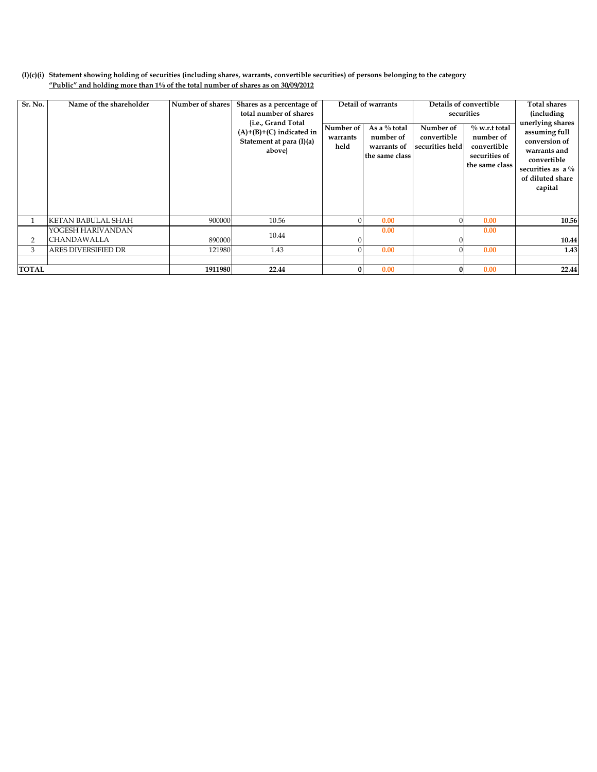## **(I)(c)(i) Statement showing holding of securities (including shares, warrants, convertible securities) of persons belonging to the category "Public" and holding more than 1% of the total number of shares as on 30/09/2012**

| Sr. No.      | Name of the shareholder                 | Number of shares | Shares as a percentage of<br>total number of shares<br>{i.e., Grand Total<br>$(A)+(B)+(C)$ indicated in<br>Statement at para (I)(a)<br>above} | Number of<br>warrants<br>held | Detail of warrants<br>As a % total<br>number of<br>warrants of<br>the same class | Number of<br>convertible<br>securities held | Details of convertible<br>securities<br>$\%$ w.r.t total<br>number of<br>convertible<br>securities of<br>the same class | <b>Total shares</b><br><i>(including)</i><br>unerlying shares<br>assuming full<br>conversion of<br>warrants and<br>convertible<br>securities as $a\%$<br>of diluted share<br>capital |
|--------------|-----------------------------------------|------------------|-----------------------------------------------------------------------------------------------------------------------------------------------|-------------------------------|----------------------------------------------------------------------------------|---------------------------------------------|-------------------------------------------------------------------------------------------------------------------------|--------------------------------------------------------------------------------------------------------------------------------------------------------------------------------------|
|              | <b>KETAN BABULAL SHAH</b>               | 900000           | 10.56                                                                                                                                         |                               | 0.00                                                                             |                                             | 0.00                                                                                                                    | 10.56                                                                                                                                                                                |
| 2            | YOGESH HARIVANDAN<br><b>CHANDAWALLA</b> | 890000           | 10.44                                                                                                                                         |                               | 0.00                                                                             |                                             | 0.00                                                                                                                    | 10.44                                                                                                                                                                                |
| 3            | <b>ARES DIVERSIFIED DR</b>              | 121980           | 1.43                                                                                                                                          |                               | 0.00                                                                             |                                             | 0.00                                                                                                                    | 1.43                                                                                                                                                                                 |
| <b>TOTAL</b> |                                         | 1911980          | 22.44                                                                                                                                         |                               | 0.00                                                                             | O                                           | 0.00                                                                                                                    | 22.44                                                                                                                                                                                |